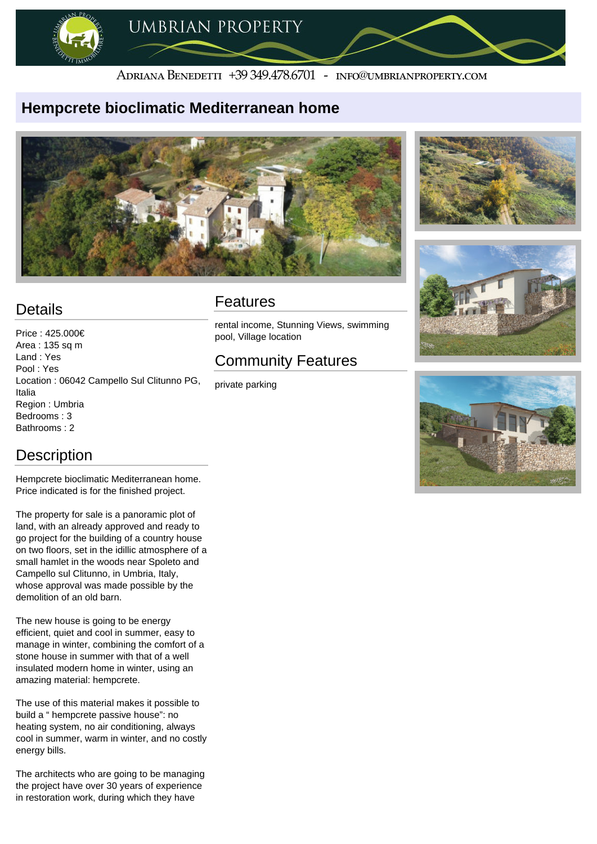

#### ADRIANA BENEDETTI +39 349.478.6701 - INFO@UMBRIANPROPERTY.COM

#### **Hempcrete bioclimatic Mediterranean home**





# **Details**

Price : 425.000€ Area : 135 sq m Land : Yes Pool : Yes Location : 06042 Campello Sul Clitunno PG, Italia Region : Umbria Bedrooms : 3 Bathrooms : 2

### **Description**

Hempcrete bioclimatic Mediterranean home. Price indicated is for the finished project.

The property for sale is a panoramic plot of land, with an already approved and ready to go project for the building of a country house on two floors, set in the idillic atmosphere of a small hamlet in the woods near Spoleto and Campello sul Clitunno, in Umbria, Italy, whose approval was made possible by the demolition of an old barn.

The new house is going to be energy efficient, quiet and cool in summer, easy to manage in winter, combining the comfort of a stone house in summer with that of a well insulated modern home in winter, using an amazing material: hempcrete.

The use of this material makes it possible to build a " hempcrete passive house": no heating system, no air conditioning, always cool in summer, warm in winter, and no costly energy bills.

The architects who are going to be managing the project have over 30 years of experience in restoration work, during which they have

### Features

rental income, Stunning Views, swimming pool, Village location

## Community Features

private parking